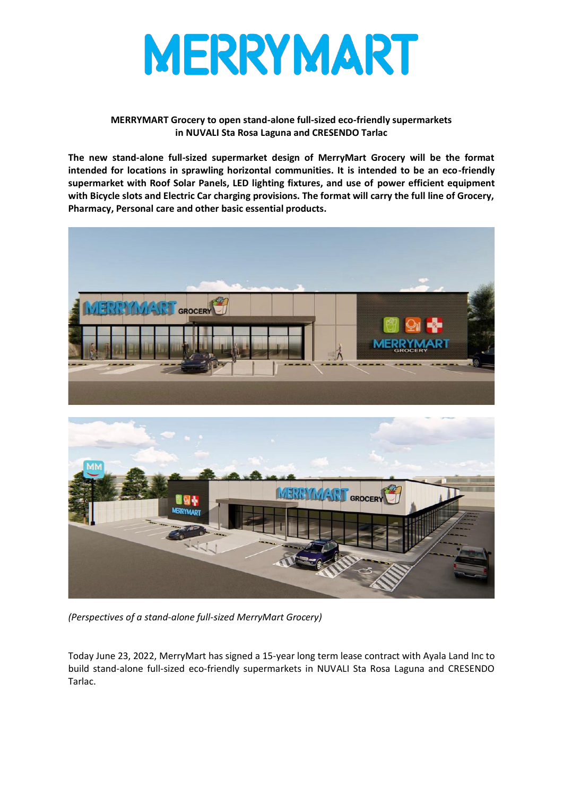

## **MERRYMART Grocery to open stand-alone full-sized eco-friendly supermarkets in NUVALI Sta Rosa Laguna and CRESENDO Tarlac**

**The new stand-alone full-sized supermarket design of MerryMart Grocery will be the format intended for locations in sprawling horizontal communities. It is intended to be an eco-friendly supermarket with Roof Solar Panels, LED lighting fixtures, and use of power efficient equipment with Bicycle slots and Electric Car charging provisions. The format will carry the full line of Grocery, Pharmacy, Personal care and other basic essential products.** 





*(Perspectives of a stand-alone full-sized MerryMart Grocery)*

Today June 23, 2022, MerryMart has signed a 15-year long term lease contract with Ayala Land Inc to build stand-alone full-sized eco-friendly supermarkets in NUVALI Sta Rosa Laguna and CRESENDO Tarlac.